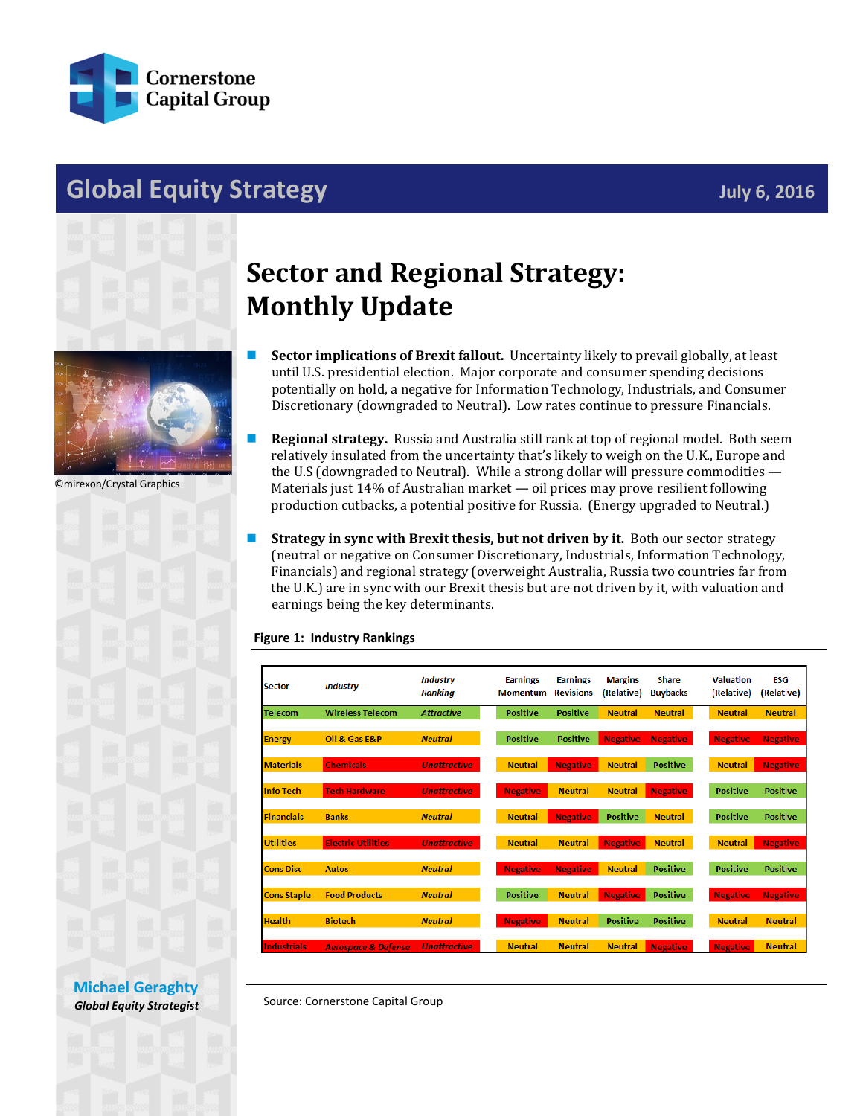

## **Global Equity Strategy July 6, 2016**





©mirexon/Crystal Graphics



## **Sector and Regional Strategy: Monthly Update**

- **Sector implications of Brexit fallout.** Uncertainty likely to prevail globally, at least until U.S. presidential election. Major corporate and consumer spending decisions potentially on hold, a negative for Information Technology, Industrials, and Consumer Discretionary (downgraded to Neutral). Low rates continue to pressure Financials.
- **Regional strategy.** Russia and Australia still rank at top of regional model. Both seem relatively insulated from the uncertainty that's likely to weigh on the U.K., Europe and the U.S (downgraded to Neutral). While a strong dollar will pressure commodities — Materials just 14% of Australian market — oil prices may prove resilient following production cutbacks, a potential positive for Russia. (Energy upgraded to Neutral.)
- **Strategy in sync with Brexit thesis, but not driven by it.** Both our sector strategy (neutral or negative on Consumer Discretionary, Industrials, Information Technology, Financials) and regional strategy (overweight Australia, Russia two countries far from the U.K.) are in sync with our Brexit thesis but are not driven by it, with valuation and earnings being the key determinants.

## **Figure 1: Industry Rankings**

| <b>Sector</b>      | <b>Industry</b>                | <b>Industry</b><br><b>Ranking</b> | <b>Earnings</b><br><b>Momentum</b> | <b>Earnings</b><br><b>Revisions</b> | <b>Margins</b><br>(Relative) | <b>Share</b><br><b>Buybacks</b> | <b>Valuation</b><br>(Relative) | <b>ESG</b><br>(Relative) |
|--------------------|--------------------------------|-----------------------------------|------------------------------------|-------------------------------------|------------------------------|---------------------------------|--------------------------------|--------------------------|
| <b>Telecom</b>     | <b>Wireless Telecom</b>        | <b>Attractive</b>                 | <b>Positive</b>                    | <b>Positive</b>                     | <b>Neutral</b>               | <b>Neutral</b>                  | <b>Neutral</b>                 | <b>Neutral</b>           |
| <b>Energy</b>      | Oil & Gas E&P                  | <b>Neutral</b>                    | <b>Positive</b>                    | <b>Positive</b>                     | <b>Negative</b>              | <b>Negative</b>                 | <b>Negative</b>                | <b>Negative</b>          |
| <b>Materials</b>   | <b>Chemicals</b>               | <b>Unattractive</b>               | <b>Neutral</b>                     | <b>Negative</b>                     | <b>Neutral</b>               | <b>Positive</b>                 | <b>Neutral</b>                 | <b>Negative</b>          |
| <b>Info Tech</b>   | <b>Tech Hardware</b>           | <b>Unattractive</b>               | <b>Negative</b>                    | <b>Neutral</b>                      | <b>Neutral</b>               | <b>Negative</b>                 | <b>Positive</b>                | <b>Positive</b>          |
| <b>Financials</b>  | <b>Banks</b>                   | <b>Neutral</b>                    | <b>Neutral</b>                     | <b>Negative</b>                     | <b>Positive</b>              | <b>Neutral</b>                  | <b>Positive</b>                | <b>Positive</b>          |
| <b>Utilities</b>   | <b>Electric Utilities</b>      | <b>Unattractive</b>               | <b>Neutral</b>                     | <b>Neutral</b>                      | <b>Negative</b>              | <b>Neutral</b>                  | <b>Neutral</b>                 | <b>Negative</b>          |
| <b>Cons Disc</b>   | <b>Autos</b>                   | <b>Neutral</b>                    | <b>Negative</b>                    | <b>Negative</b>                     | <b>Neutral</b>               | <b>Positive</b>                 | <b>Positive</b>                | <b>Positive</b>          |
| <b>Cons Staple</b> | <b>Food Products</b>           | <b>Neutral</b>                    | <b>Positive</b>                    | <b>Neutral</b>                      | <b>Negative</b>              | <b>Positive</b>                 | <b>Negative</b>                | <b>Negative</b>          |
| <b>Health</b>      | <b>Biotech</b>                 | <b>Neutral</b>                    | <b>Negative</b>                    | <b>Neutral</b>                      | <b>Positive</b>              | <b>Positive</b>                 | <b>Neutral</b>                 | <b>Neutral</b>           |
| <b>Industrials</b> | <b>Aerospace &amp; Defense</b> | <b>Unattractive</b>               | <b>Neutral</b>                     | <b>Neutral</b>                      | <b>Neutral</b>               | <b>Negative</b>                 | <b>Negative</b>                | <b>Neutral</b>           |

**[Michael Geraghty](mailto:michael.geraghty@cornerstonecapinc.com)** *Global Equity Strategist*

Source: Cornerstone Capital Group